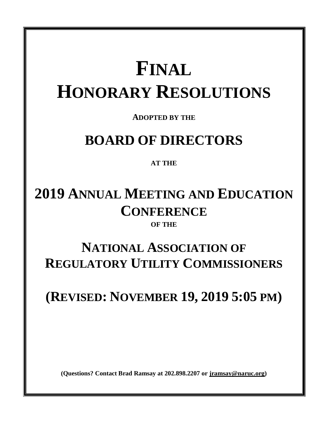# **FINAL HONORARY RESOLUTIONS**

**ADOPTED BY THE** 

# **BOARD OF DIRECTORS**

### **AT THE**

# **2019 ANNUAL MEETING AND EDUCATION CONFERENCE**

### **OF THE**

# **NATIONAL ASSOCIATION OF REGULATORY UTILITY COMMISSIONERS**

# **(REVISED: NOVEMBER 19, 2019 5:05 PM)**

**(Questions? Contact Brad Ramsay at 202.898.2207 or [jramsay@naruc.org\)](mailto:jramsay@naruc.org)**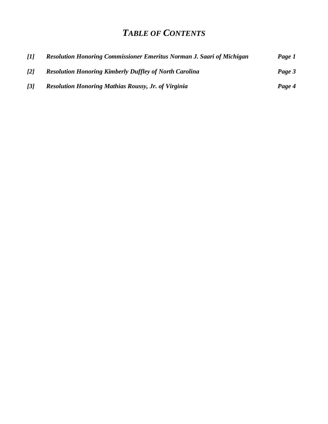### *TABLE OF CONTENTS*

| - <i>[1]</i>      | Resolution Honoring Commissioner Emeritus Norman J. Saari of Michigan | Page 1 |
|-------------------|-----------------------------------------------------------------------|--------|
| $\lceil 2 \rceil$ | <b>Resolution Honoring Kimberly Duffley of North Carolina</b>         | Page 3 |
| $\overline{3}$    | <b>Resolution Honoring Mathias Roussy, Jr. of Virginia</b>            | Page 4 |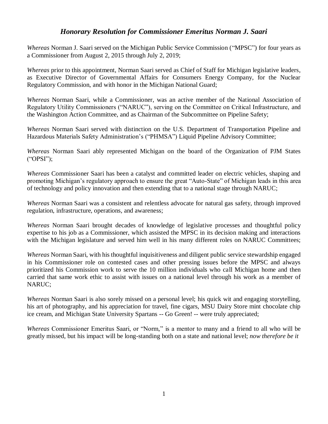#### *Honorary Resolution for Commissioner Emeritus Norman J. Saari*

*Whereas* Norman J. Saari served on the Michigan Public Service Commission ("MPSC") for four years as a Commissioner from August 2, 2015 through July 2, 2019;

*Whereas* prior to this appointment, Norman Saari served as Chief of Staff for Michigan legislative leaders, as Executive Director of Governmental Affairs for Consumers Energy Company, for the Nuclear Regulatory Commission, and with honor in the Michigan National Guard;

*Whereas* Norman Saari, while a Commissioner, was an active member of the National Association of Regulatory Utility Commissioners ("NARUC"), serving on the Committee on Critical Infrastructure, and the Washington Action Committee, and as Chairman of the Subcommittee on Pipeline Safety;

*Whereas* Norman Saari served with distinction on the U.S. Department of Transportation Pipeline and Hazardous Materials Safety Administration's ("PHMSA") Liquid Pipeline Advisory Committee;

*Whereas* Norman Saari ably represented Michigan on the board of the Organization of PJM States ("OPSI");

*Whereas* Commissioner Saari has been a catalyst and committed leader on electric vehicles, shaping and promoting Michigan's regulatory approach to ensure the great "Auto-State" of Michigan leads in this area of technology and policy innovation and then extending that to a national stage through NARUC;

*Whereas* Norman Saari was a consistent and relentless advocate for natural gas safety, through improved regulation, infrastructure, operations, and awareness;

*Whereas* Norman Saari brought decades of knowledge of legislative processes and thoughtful policy expertise to his job as a Commissioner, which assisted the MPSC in its decision making and interactions with the Michigan legislature and served him well in his many different roles on NARUC Committees;

*Whereas* Norman Saari, with his thoughtful inquisitiveness and diligent public service stewardship engaged in his Commissioner role on contested cases and other pressing issues before the MPSC and always prioritized his Commission work to serve the 10 million individuals who call Michigan home and then carried that same work ethic to assist with issues on a national level through his work as a member of NARUC;

*Whereas* Norman Saari is also sorely missed on a personal level; his quick wit and engaging storytelling, his art of photography, and his appreciation for travel, fine cigars, MSU Dairy Store mint chocolate chip ice cream, and Michigan State University Spartans -- Go Green! -- were truly appreciated;

*Whereas* Commissioner Emeritus Saari, or "Norm," is a mentor to many and a friend to all who will be greatly missed, but his impact will be long-standing both on a state and national level; *now therefore be it*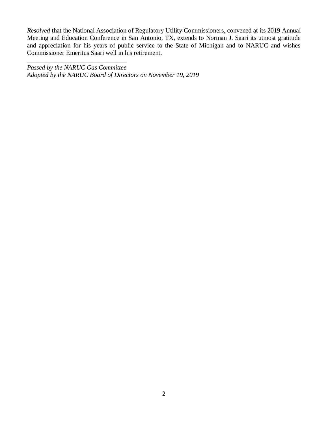*Resolved* that the National Association of Regulatory Utility Commissioners, convened at its 2019 Annual Meeting and Education Conference in San Antonio, TX, extends to Norman J. Saari its utmost gratitude and appreciation for his years of public service to the State of Michigan and to NARUC and wishes Commissioner Emeritus Saari well in his retirement.

\_\_\_\_\_\_\_\_\_\_\_\_\_\_\_\_\_\_\_\_\_\_\_\_\_\_\_\_\_\_\_ *Passed by the NARUC Gas Committee Adopted by the NARUC Board of Directors on November 19, 2019*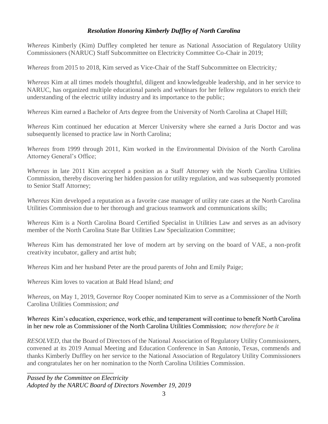#### *Resolution Honoring Kimberly Duffley of North Carolina*

*Whereas* Kimberly (Kim) Duffley completed her tenure as National Association of Regulatory Utility Commissioners (NARUC) Staff Subcommittee on Electricity Committee Co-Chair in 2019;

*Whereas* from 2015 to 2018, Kim served as Vice-Chair of the Staff Subcommittee on Electricity*;*

*Whereas* Kim at all times models thoughtful, diligent and knowledgeable leadership, and in her service to NARUC, has organized multiple educational panels and webinars for her fellow regulators to enrich their understanding of the electric utility industry and its importance to the public;

*Whereas* Kim earned a Bachelor of Arts degree from the University of North Carolina at Chapel Hill;

*Whereas* Kim continued her education at Mercer University where she earned a Juris Doctor and was subsequently licensed to practice law in North Carolina;

*Whereas* from 1999 through 2011, Kim worked in the Environmental Division of the North Carolina Attorney General's Office;

*Whereas* in late 2011 Kim accepted a position as a Staff Attorney with the North Carolina Utilities Commission, thereby discovering her hidden passion for utility regulation, and was subsequently promoted to Senior Staff Attorney;

*Whereas* Kim developed a reputation as a favorite case manager of utility rate cases at the North Carolina Utilities Commission due to her thorough and gracious teamwork and communications skills;

*Whereas* Kim is a North Carolina Board Certified Specialist in Utilities Law and serves as an advisory member of the North Carolina State Bar Utilities Law Specialization Committee;

*Whereas* Kim has demonstrated her love of modern art by serving on the board of VAE, a non-profit creativity incubator, gallery and artist hub;

*Whereas* Kim and her husband Peter are the proud parents of John and Emily Paige;

*Whereas* Kim loves to vacation at Bald Head Island; *and*

*Whereas*, on May 1, 2019, Governor Roy Cooper nominated Kim to serve as a Commissioner of the North Carolina Utilities Commission; *and*

#### *Whereas* Kim's education, experience, work ethic, and temperament will continue to benefit North Carolina in her new role as Commissioner of the North Carolina Utilities Commission; *now therefore be it*

*RESOLVED*, that the Board of Directors of the National Association of Regulatory Utility Commissioners, convened at its 2019 Annual Meeting and Education Conference in San Antonio, Texas, commends and thanks Kimberly Duffley on her service to the National Association of Regulatory Utility Commissioners and congratulates her on her nomination to the North Carolina Utilities Commission.

\_\_\_\_\_\_\_\_\_\_\_\_\_\_\_\_\_\_\_\_\_\_\_\_\_\_\_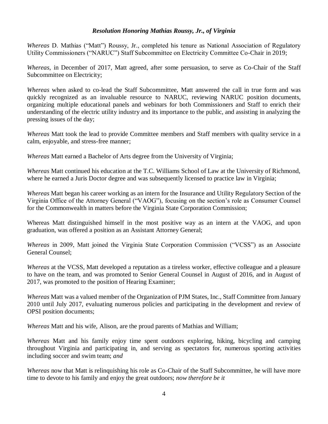#### *Resolution Honoring Mathias Roussy, Jr., of Virginia*

*Whereas* D. Mathias ("Matt") Roussy, Jr., completed his tenure as National Association of Regulatory Utility Commissioners ("NARUC") Staff Subcommittee on Electricity Committee Co-Chair in 2019;

*Whereas*, in December of 2017, Matt agreed, after some persuasion, to serve as Co-Chair of the Staff Subcommittee on Electricity;

*Whereas* when asked to co-lead the Staff Subcommittee, Matt answered the call in true form and was quickly recognized as an invaluable resource to NARUC, reviewing NARUC position documents, organizing multiple educational panels and webinars for both Commissioners and Staff to enrich their understanding of the electric utility industry and its importance to the public, and assisting in analyzing the pressing issues of the day;

*Whereas* Matt took the lead to provide Committee members and Staff members with quality service in a calm, enjoyable, and stress-free manner;

*Whereas* Matt earned a Bachelor of Arts degree from the University of Virginia;

*Whereas* Matt continued his education at the T.C. Williams School of Law at the University of Richmond, where he earned a Juris Doctor degree and was subsequently licensed to practice law in Virginia;

*Whereas* Matt began his career working as an intern for the Insurance and Utility Regulatory Section of the Virginia Office of the Attorney General ("VAOG"), focusing on the section's role as Consumer Counsel for the Commonwealth in matters before the Virginia State Corporation Commission;

Whereas Matt distinguished himself in the most positive way as an intern at the VAOG, and upon graduation, was offered a position as an Assistant Attorney General;

*Whereas* in 2009, Matt joined the Virginia State Corporation Commission ("VCSS") as an Associate General Counsel;

*Whereas* at the VCSS, Matt developed a reputation as a tireless worker, effective colleague and a pleasure to have on the team, and was promoted to Senior General Counsel in August of 2016, and in August of 2017, was promoted to the position of Hearing Examiner;

*Whereas* Matt was a valued member of the Organization of PJM States, Inc., Staff Committee from January 2010 until July 2017, evaluating numerous policies and participating in the development and review of OPSI position documents;

*Whereas* Matt and his wife, Alison, are the proud parents of Mathias and William;

*Whereas* Matt and his family enjoy time spent outdoors exploring, hiking, bicycling and camping throughout Virginia and participating in, and serving as spectators for, numerous sporting activities including soccer and swim team; *and*

*Whereas* now that Matt is relinquishing his role as Co-Chair of the Staff Subcommittee, he will have more time to devote to his family and enjoy the great outdoors; *now therefore be it*